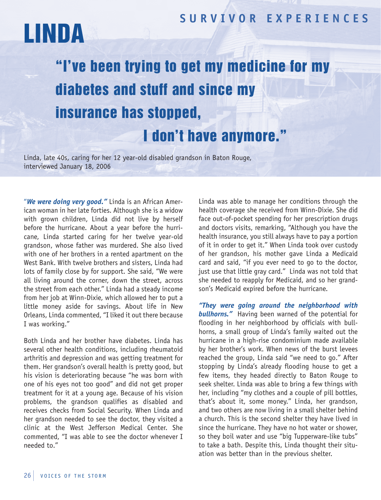### **SUR V I V OR EX P ER I ENCES**

# LINDA

## "I've been trying to get my medicine for my diabetes and stuff and since my insurance has stopped,

## I don't have anymore."

Linda, late 40s, caring for her 12 year-old disabled grandson in Baton Rouge, interviewed January 18, 2006

"*We were doing very good."* Linda is an African American woman in her late forties. Although she is a widow with grown children, Linda did not live by herself before the hurricane. About a year before the hurricane, Linda started caring for her twelve year-old grandson, whose father was murdered. She also lived with one of her brothers in a rented apartment on the West Bank. With twelve brothers and sisters, Linda had lots of family close by for support. She said, "We were all living around the corner, down the street, across the street from each other." Linda had a steady income from her job at Winn-Dixie, which allowed her to put a little money aside for savings. About life in New Orleans, Linda commented, "I liked it out there because I was working."

Both Linda and her brother have diabetes. Linda has several other health conditions, including rheumatoid arthritis and depression and was getting treatment for them. Her grandson's overall health is pretty good, but his vision is deteriorating because "he was born with one of his eyes not too good" and did not get proper treatment for it at a young age. Because of his vision problems, the grandson qualifies as disabled and receives checks from Social Security. When Linda and her grandson needed to see the doctor, they visited a clinic at the West Jefferson Medical Center. She commented, "I was able to see the doctor whenever I needed to."

Linda was able to manage her conditions through the health coverage she received from Winn-Dixie. She did face out-of-pocket spending for her prescription drugs and doctors visits, remarking, "Although you have the health insurance, you still always have to pay a portion of it in order to get it." When Linda took over custody of her grandson, his mother gave Linda a Medicaid card and said, "if you ever need to go to the doctor, just use that little gray card." Linda was not told that she needed to reapply for Medicaid, and so her grandson's Medicaid expired before the hurricane.

*"They were going around the neighborhood with bullhorns."* Having been warned of the potential for flooding in her neighborhood by officials with bullhorns, a small group of Linda's family waited out the hurricane in a high-rise condominium made available by her brother's work. When news of the burst levees reached the group, Linda said "we need to go." After stopping by Linda's already flooding house to get a few items, they headed directly to Baton Rouge to seek shelter. Linda was able to bring a few things with her, including "my clothes and a couple of pill bottles, that's about it, some money." Linda, her grandson, and two others are now living in a small shelter behind a church. This is the second shelter they have lived in since the hurricane. They have no hot water or shower, so they boil water and use "big Tupperware-like tubs" to take a bath. Despite this, Linda thought their situation was better than in the previous shelter.